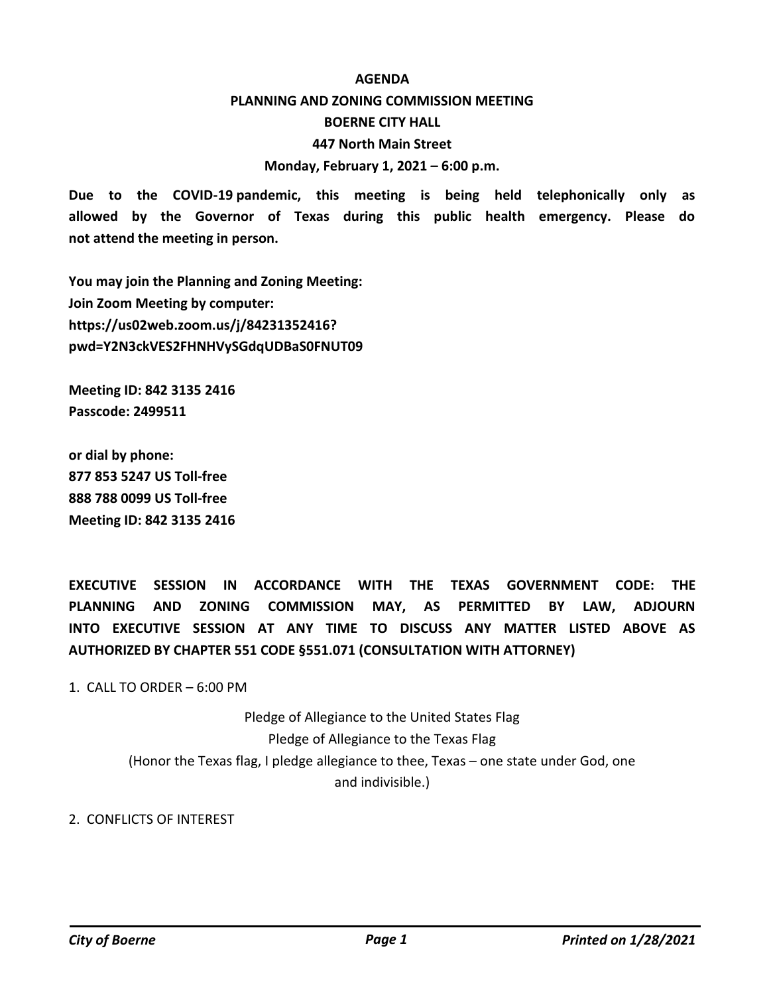## **AGENDA**

## **PLANNING AND ZONING COMMISSION MEETING BOERNE CITY HALL 447 North Main Street**

**Monday, February 1, 2021 – 6:00 p.m.**

**Due to the COVID-19 pandemic, this meeting is being held telephonically only as allowed by the Governor of Texas during this public health emergency. Please do not attend the meeting in person.**

**You may join the Planning and Zoning Meeting: Join Zoom Meeting by computer: https://us02web.zoom.us/j/84231352416? pwd=Y2N3ckVES2FHNHVySGdqUDBaS0FNUT09**

**Meeting ID: 842 3135 2416 Passcode: 2499511**

**or dial by phone: 877 853 5247 US Toll-free 888 788 0099 US Toll-free Meeting ID: 842 3135 2416**

**EXECUTIVE SESSION IN ACCORDANCE WITH THE TEXAS GOVERNMENT CODE: THE PLANNING AND ZONING COMMISSION MAY, AS PERMITTED BY LAW, ADJOURN INTO EXECUTIVE SESSION AT ANY TIME TO DISCUSS ANY MATTER LISTED ABOVE AS AUTHORIZED BY CHAPTER 551 CODE §551.071 (CONSULTATION WITH ATTORNEY)**

1. CALL TO ORDER  $-6:00$  PM

Pledge of Allegiance to the United States Flag Pledge of Allegiance to the Texas Flag (Honor the Texas flag, I pledge allegiance to thee, Texas – one state under God, one and indivisible.)

2. CONFLICTS OF INTEREST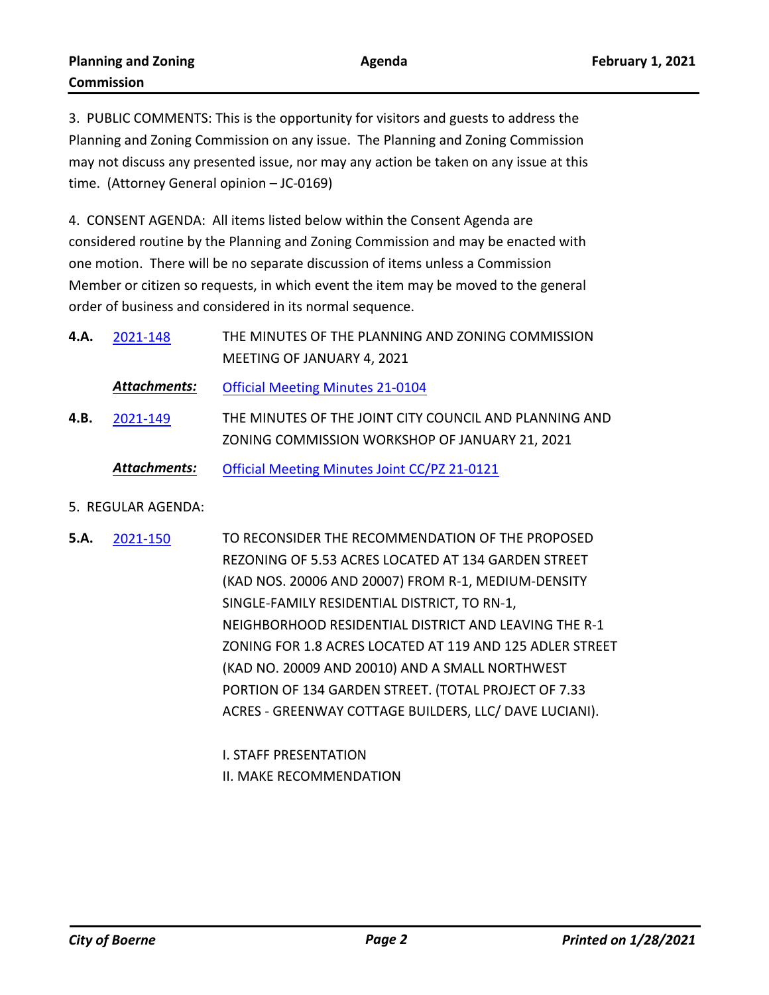3. PUBLIC COMMENTS: This is the opportunity for visitors and guests to address the Planning and Zoning Commission on any issue. The Planning and Zoning Commission may not discuss any presented issue, nor may any action be taken on any issue at this time. (Attorney General opinion – JC-0169)

4. CONSENT AGENDA: All items listed below within the Consent Agenda are considered routine by the Planning and Zoning Commission and may be enacted with one motion. There will be no separate discussion of items unless a Commission Member or citizen so requests, in which event the item may be moved to the general order of business and considered in its normal sequence.

| 4.A. | 2021-148            | THE MINUTES OF THE PLANNING AND ZONING COMMISSION                                                        |
|------|---------------------|----------------------------------------------------------------------------------------------------------|
|      |                     | MEETING OF JANUARY 4, 2021                                                                               |
|      | Attachments:        | <b>Official Meeting Minutes 21-0104</b>                                                                  |
| 4.B. | 2021-149            | THE MINUTES OF THE JOINT CITY COUNCIL AND PLANNING AND<br>ZONING COMMISSION WORKSHOP OF JANUARY 21, 2021 |
|      | <b>Attachments:</b> | Official Meeting Minutes Joint CC/PZ 21-0121                                                             |

- 5. REGULAR AGENDA:
- TO RECONSIDER THE RECOMMENDATION OF THE PROPOSED REZONING OF 5.53 ACRES LOCATED AT 134 GARDEN STREET (KAD NOS. 20006 AND 20007) FROM R-1, MEDIUM-DENSITY SINGLE-FAMILY RESIDENTIAL DISTRICT, TO RN-1, NEIGHBORHOOD RESIDENTIAL DISTRICT AND LEAVING THE R-1 ZONING FOR 1.8 ACRES LOCATED AT 119 AND 125 ADLER STREET (KAD NO. 20009 AND 20010) AND A SMALL NORTHWEST PORTION OF 134 GARDEN STREET. (TOTAL PROJECT OF 7.33 ACRES - GREENWAY COTTAGE BUILDERS, LLC/ DAVE LUCIANI). **5.A.** [2021-150](http://boerne.legistar.com/gateway.aspx?m=l&id=/matter.aspx?key=5722)

I. STAFF PRESENTATION II. MAKE RECOMMENDATION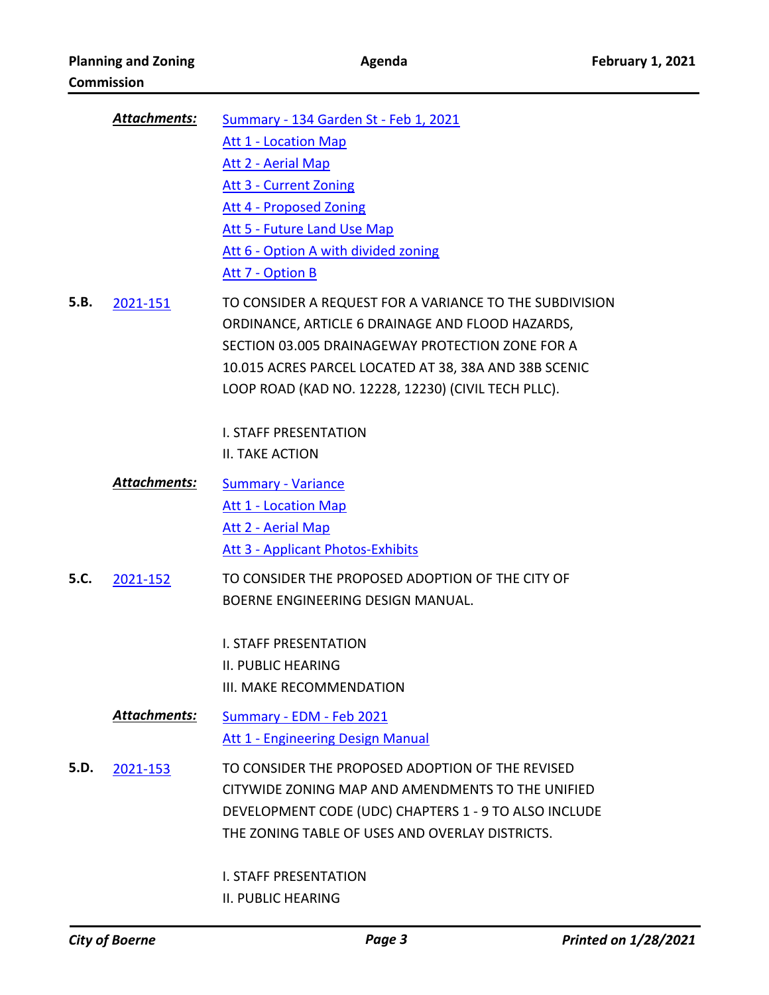|      | Attachments:        | Summary - 134 Garden St - Feb 1, 2021                   |
|------|---------------------|---------------------------------------------------------|
|      |                     | <b>Att 1 - Location Map</b>                             |
|      |                     | <b>Att 2 - Aerial Map</b>                               |
|      |                     | <b>Att 3 - Current Zoning</b>                           |
|      |                     | Att 4 - Proposed Zoning                                 |
|      |                     | Att 5 - Future Land Use Map                             |
|      |                     | Att 6 - Option A with divided zoning                    |
|      |                     | Att 7 - Option B                                        |
| 5.B. | 2021-151            | TO CONSIDER A REQUEST FOR A VARIANCE TO THE SUBDIVISION |
|      |                     | ORDINANCE, ARTICLE 6 DRAINAGE AND FLOOD HAZARDS,        |
|      |                     | SECTION 03.005 DRAINAGEWAY PROTECTION ZONE FOR A        |
|      |                     | 10.015 ACRES PARCEL LOCATED AT 38, 38A AND 38B SCENIC   |
|      |                     | LOOP ROAD (KAD NO. 12228, 12230) (CIVIL TECH PLLC).     |
|      |                     |                                                         |
|      |                     | <b>I. STAFF PRESENTATION</b><br><b>II. TAKE ACTION</b>  |
|      |                     |                                                         |
|      | Attachments:        | <b>Summary - Variance</b>                               |
|      |                     | <b>Att 1 - Location Map</b>                             |
|      |                     | Att 2 - Aerial Map                                      |
|      |                     | <b>Att 3 - Applicant Photos-Exhibits</b>                |
| 5.C. | 2021-152            | TO CONSIDER THE PROPOSED ADOPTION OF THE CITY OF        |
|      |                     | BOERNE ENGINEERING DESIGN MANUAL.                       |
|      |                     | <b>I. STAFF PRESENTATION</b>                            |
|      |                     | II. PUBLIC HEARING                                      |
|      |                     | III. MAKE RECOMMENDATION                                |
|      | <b>Attachments:</b> |                                                         |
|      |                     | Summary - EDM - Feb 2021                                |
|      |                     | <b>Att 1 - Engineering Design Manual</b>                |
| 5.D. | 2021-153            | TO CONSIDER THE PROPOSED ADOPTION OF THE REVISED        |
|      |                     | CITYWIDE ZONING MAP AND AMENDMENTS TO THE UNIFIED       |
|      |                     | DEVELOPMENT CODE (UDC) CHAPTERS 1 - 9 TO ALSO INCLUDE   |
|      |                     | THE ZONING TABLE OF USES AND OVERLAY DISTRICTS.         |
|      |                     | <b>I. STAFF PRESENTATION</b>                            |
|      |                     | <b>II. PUBLIC HEARING</b>                               |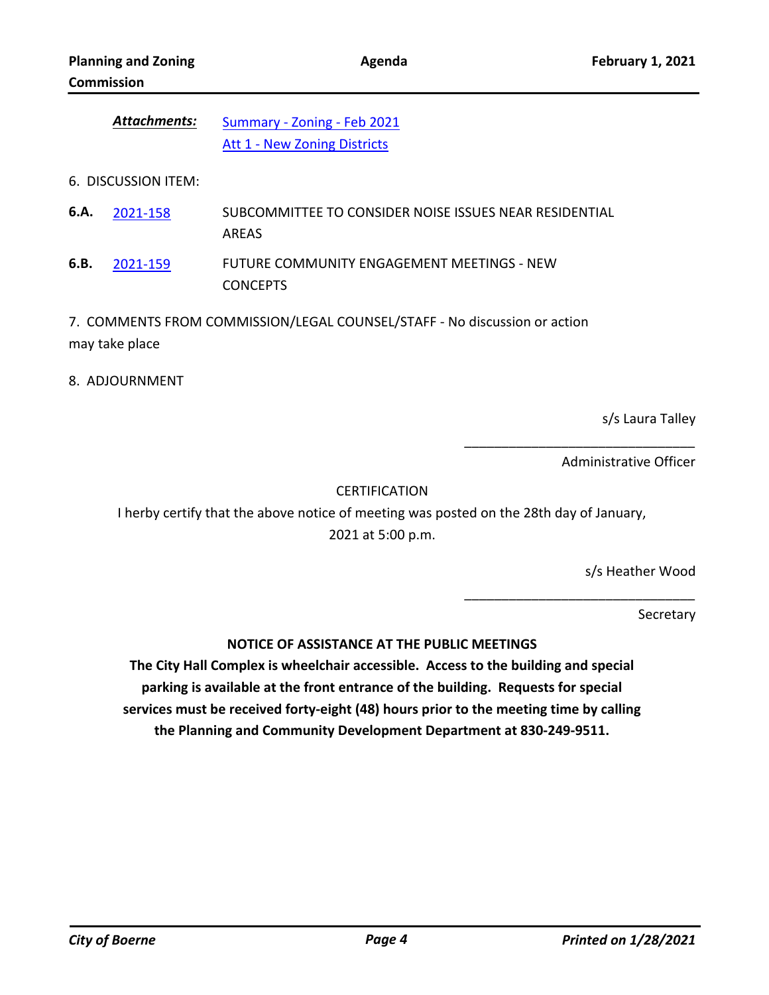| Attachments: | Summary - Zoning - Feb 2021         |
|--------------|-------------------------------------|
|              | <b>Att 1 - New Zoning Districts</b> |

6. DISCUSSION ITEM:

SUBCOMMITTEE TO CONSIDER NOISE ISSUES NEAR RESIDENTIAL AREAS **6.A.** [2021-158](http://boerne.legistar.com/gateway.aspx?m=l&id=/matter.aspx?key=5730)

FUTURE COMMUNITY ENGAGEMENT MEETINGS - NEW CONCEPTS **6.B.** [2021-159](http://boerne.legistar.com/gateway.aspx?m=l&id=/matter.aspx?key=5731)

7. COMMENTS FROM COMMISSION/LEGAL COUNSEL/STAFF - No discussion or action may take place

8. ADJOURNMENT

s/s Laura Talley

Administrative Officer

\_\_\_\_\_\_\_\_\_\_\_\_\_\_\_\_\_\_\_\_\_\_\_\_\_\_\_\_\_\_\_

\_\_\_\_\_\_\_\_\_\_\_\_\_\_\_\_\_\_\_\_\_\_\_\_\_\_\_\_\_\_\_

CERTIFICATION

I herby certify that the above notice of meeting was posted on the 28th day of January, 2021 at 5:00 p.m.

s/s Heather Wood

**Secretary** 

**NOTICE OF ASSISTANCE AT THE PUBLIC MEETINGS**

**The City Hall Complex is wheelchair accessible. Access to the building and special parking is available at the front entrance of the building. Requests for special services must be received forty-eight (48) hours prior to the meeting time by calling the Planning and Community Development Department at 830-249-9511.**